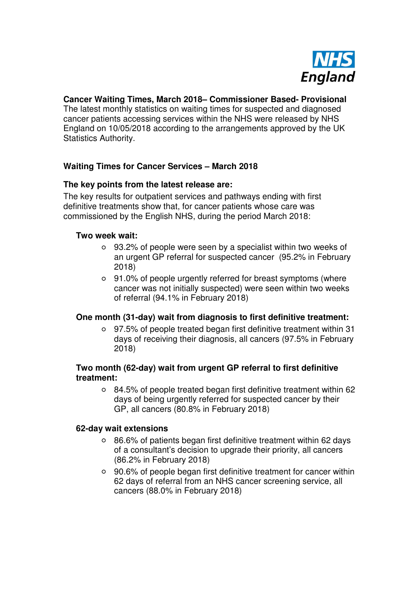

# **Cancer Waiting Times, March 2018– Commissioner Based- Provisional**

The latest monthly statistics on waiting times for suspected and diagnosed cancer patients accessing services within the NHS were released by NHS England on 10/05/2018 according to the arrangements approved by the UK Statistics Authority.

# **Waiting Times for Cancer Services – March 2018**

### **The key points from the latest release are:**

The key results for outpatient services and pathways ending with first definitive treatments show that, for cancer patients whose care was commissioned by the English NHS, during the period March 2018:

#### **Two week wait:**

- 93.2% of people were seen by a specialist within two weeks of an urgent GP referral for suspected cancer (95.2% in February 2018)
- 91.0% of people urgently referred for breast symptoms (where cancer was not initially suspected) were seen within two weeks of referral (94.1% in February 2018)

# **One month (31-day) wait from diagnosis to first definitive treatment:**

97.5% of people treated began first definitive treatment within 31 days of receiving their diagnosis, all cancers (97.5% in February 2018)

### **Two month (62-day) wait from urgent GP referral to first definitive treatment:**

84.5% of people treated began first definitive treatment within 62 days of being urgently referred for suspected cancer by their GP, all cancers (80.8% in February 2018)

#### **62-day wait extensions**

- 86.6% of patients began first definitive treatment within 62 days of a consultant's decision to upgrade their priority, all cancers (86.2% in February 2018)
- 90.6% of people began first definitive treatment for cancer within 62 days of referral from an NHS cancer screening service, all cancers (88.0% in February 2018)